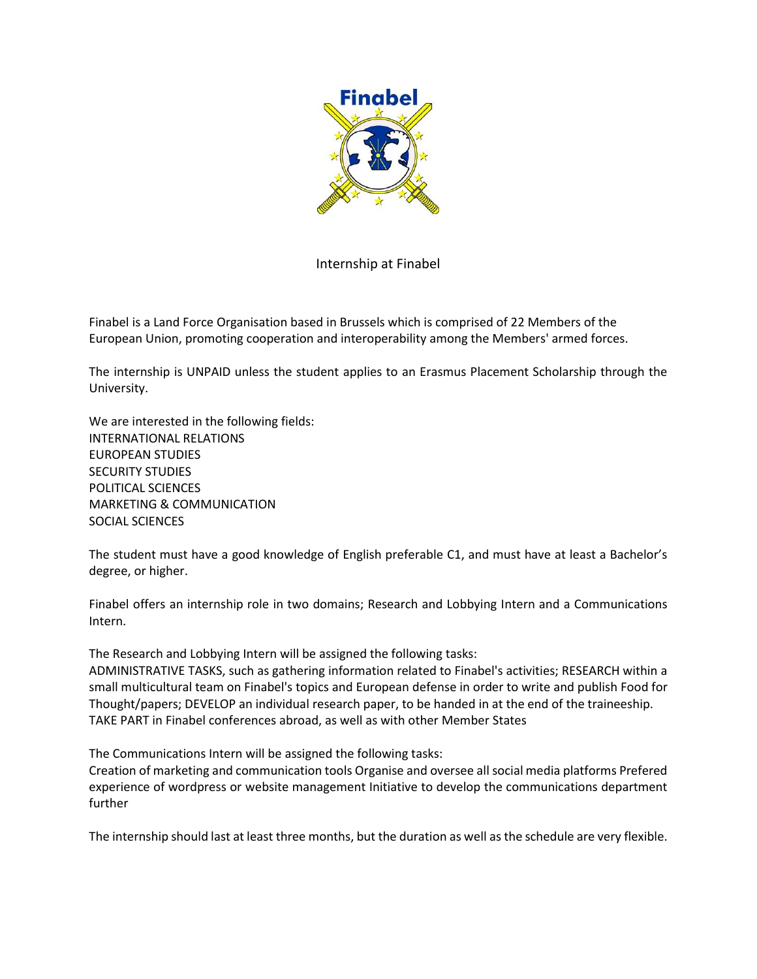

Internship at Finabel

Finabel is a Land Force Organisation based in Brussels which is comprised of 22 Members of the European Union, promoting cooperation and interoperability among the Members' armed forces.

The internship is UNPAID unless the student applies to an Erasmus Placement Scholarship through the University.

We are interested in the following fields: INTERNATIONAL RELATIONS EUROPEAN STUDIES SECURITY STUDIES POLITICAL SCIENCES MARKETING & COMMUNICATION SOCIAL SCIENCES

The student must have a good knowledge of English preferable C1, and must have at least a Bachelor's degree, or higher.

Finabel offers an internship role in two domains; Research and Lobbying Intern and a Communications Intern.

The Research and Lobbying Intern will be assigned the following tasks: ADMINISTRATIVE TASKS, such as gathering information related to Finabel's activities; RESEARCH within a small multicultural team on Finabel's topics and European defense in order to write and publish Food for Thought/papers; DEVELOP an individual research paper, to be handed in at the end of the traineeship. TAKE PART in Finabel conferences abroad, as well as with other Member States

The Communications Intern will be assigned the following tasks:

Creation of marketing and communication tools Organise and oversee all social media platforms Prefered experience of wordpress or website management Initiative to develop the communications department further

The internship should last at least three months, but the duration as well as the schedule are very flexible.